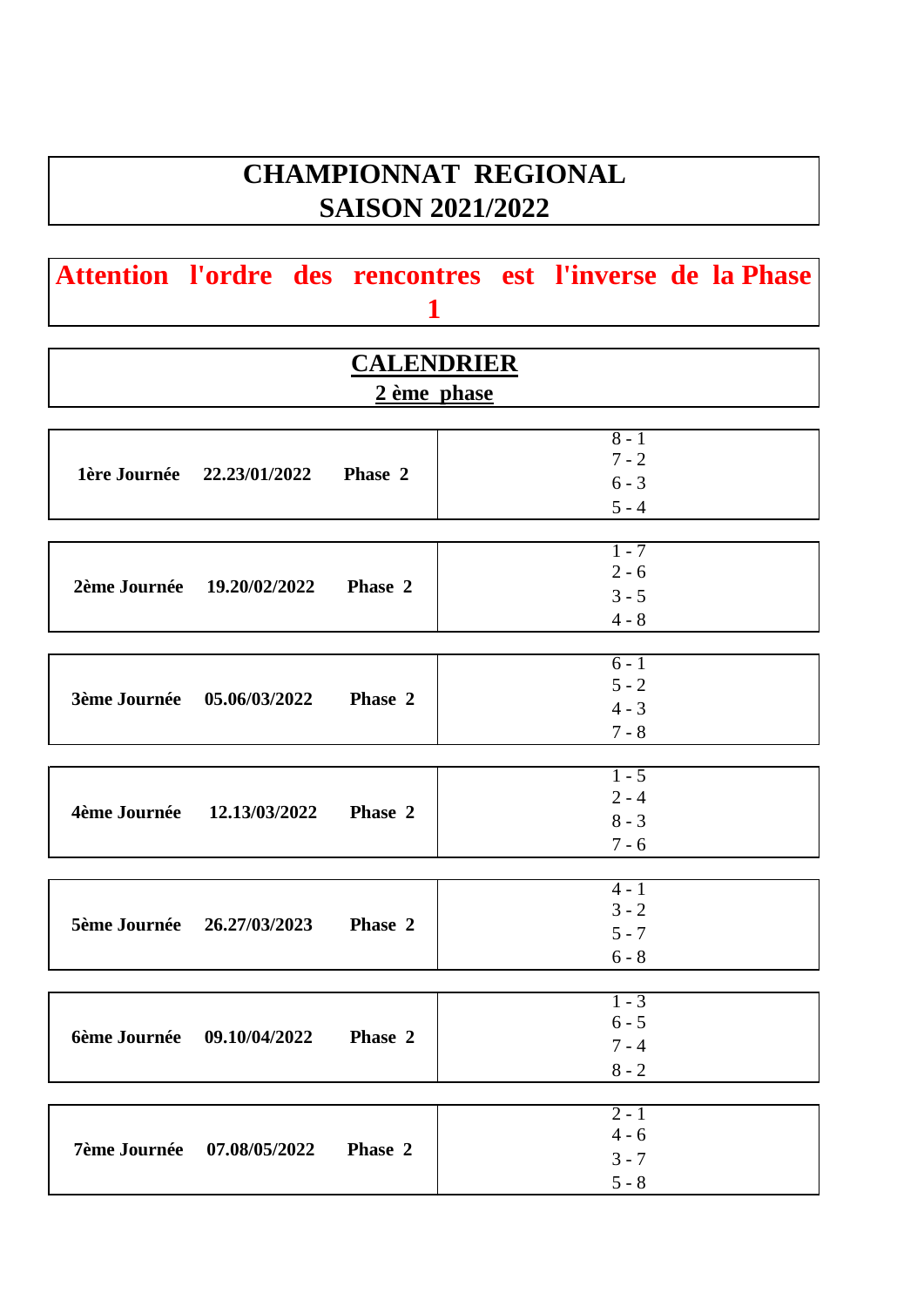# **CHAMPIONNAT REGIONAL SAISON 2021/2022**

|  | Attention l'ordre des rencontres est l'inverse de la Phase |  |  |
|--|------------------------------------------------------------|--|--|
|  |                                                            |  |  |

| <b>CALENDRIER</b>                               |                                          |  |  |  |  |  |  |
|-------------------------------------------------|------------------------------------------|--|--|--|--|--|--|
|                                                 | 2 ème phase                              |  |  |  |  |  |  |
| 1ère Journée 22.23/01/2022 Phase 2              | $8 - 1$<br>$7 - 2$<br>$6 - 3$<br>$5 - 4$ |  |  |  |  |  |  |
| 2ème Journée 19.20/02/2022 Phase 2              | $1 - 7$<br>$2 - 6$<br>$3 - 5$            |  |  |  |  |  |  |
|                                                 | $4 - 8$<br>$6 - 1$                       |  |  |  |  |  |  |
| 3ème Journée 05.06/03/2022<br>Phase 2           | $5 - 2$<br>$4 - 3$<br>$7 - 8$            |  |  |  |  |  |  |
| 4ème Journée 12.13/03/2022 Phase 2              | $1 - 5$<br>$2 - 4$<br>$8 - 3$<br>$7 - 6$ |  |  |  |  |  |  |
| 5ème Journée 26.27/03/2023 Phase 2              | $4 - 1$<br>$3 - 2$<br>$5 - 7$<br>$6 - 8$ |  |  |  |  |  |  |
| <b>6ème Journée</b><br>09.10/04/2022<br>Phase 2 | $1 - 3$<br>$6 - 5$<br>$7 - 4$<br>$8 - 2$ |  |  |  |  |  |  |
| <b>7ème Journée</b><br>07.08/05/2022<br>Phase 2 | $2 - 1$<br>$4 - 6$<br>$3 - 7$<br>$5 - 8$ |  |  |  |  |  |  |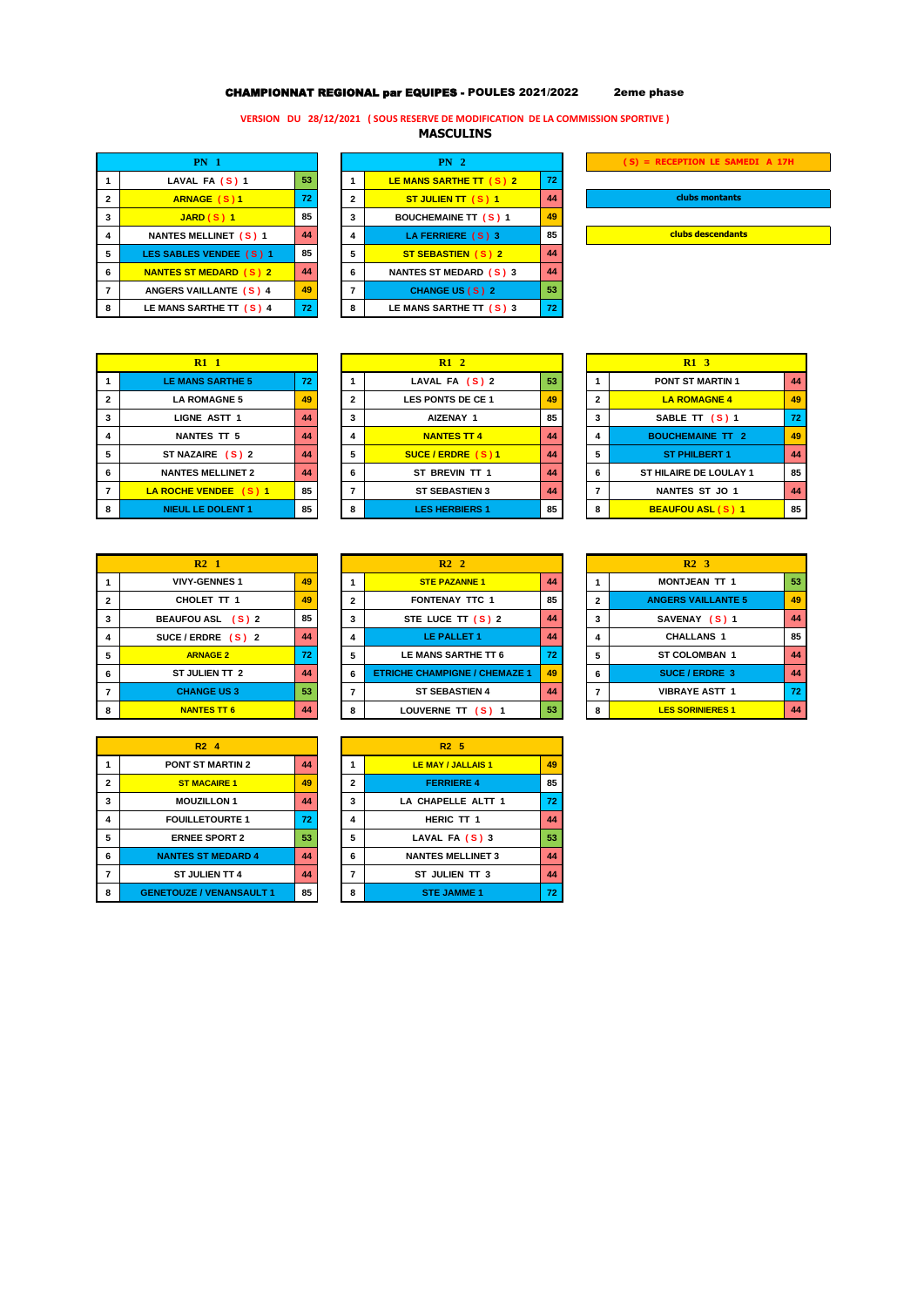## CHAMPIONNAT REGIONAL par EQUIPES - POULES 2021/2022 2eme phase

### **VERSION DU 28/12/2021 ( SOUS RESERVE DE MODIFICATION DE LA COMMISSION SPORTIVE )**

**MASCULINS** 

|                | <b>PN</b> 1                   | PN <sub>2</sub> |              |                             |    |  |  |  |
|----------------|-------------------------------|-----------------|--------------|-----------------------------|----|--|--|--|
|                | LAVAL FA $(S)$ 1              | 53              |              | LE MANS SARTHE TT (S) 2     | 72 |  |  |  |
| $\overline{2}$ | <b>ARNAGE (S)1</b>            | 72              | $\mathbf{2}$ | ST JULIEN TT (S) 1          | 44 |  |  |  |
| 3              | $JARD(S)$ 1                   | 85              | 3            | <b>BOUCHEMAINE TT (S) 1</b> | 49 |  |  |  |
| 4              | <b>NANTES MELLINET (S) 1</b>  | 44              | 4            | LA FERRIERE (S) 3           | 85 |  |  |  |
| 5              | LES SABLES VENDEE (S) 1       | 85              | 5            | ST SEBASTIEN (S) 2          | 44 |  |  |  |
| 6              | <b>NANTES ST MEDARD (S) 2</b> | 44              | 6            | NANTES ST MEDARD (S) 3      | 44 |  |  |  |
| 7              | ANGERS VAILLANTE (S) 4        | 49              | 7            | CHANGE US (S) 2             | 53 |  |  |  |
| 8              | LE MANS SARTHE TT (S) 4       | 72              | 8            | LE MANS SARTHE TT $(S)$ 3   | 72 |  |  |  |

| <b>PN</b> 2 |                               |    |  |  |  |  |
|-------------|-------------------------------|----|--|--|--|--|
| 1           | LE MANS SARTHE TT (S) 2       | 72 |  |  |  |  |
| 2           | ST JULIEN TT (S) 1            | 44 |  |  |  |  |
| 3           | <b>BOUCHEMAINE TT (S) 1</b>   | 49 |  |  |  |  |
| 4           | LA FERRIERE (S) 3             | 85 |  |  |  |  |
| 5           | <b>ST SEBASTIEN (S) 2</b>     | 44 |  |  |  |  |
| 6           | <b>NANTES ST MEDARD (S) 3</b> | 44 |  |  |  |  |
| 7           | <b>CHANGE US (S) 2</b>        | 53 |  |  |  |  |
| 8           | LE MANS SARTHE TT (S) 3       | 72 |  |  |  |  |
|             |                               |    |  |  |  |  |

| (S) = RECEPTION LE SAMEDI A 17H |  |  |  |  |  |  |  |
|---------------------------------|--|--|--|--|--|--|--|
|                                 |  |  |  |  |  |  |  |
| clubs montants                  |  |  |  |  |  |  |  |
|                                 |  |  |  |  |  |  |  |
| clubs descendants               |  |  |  |  |  |  |  |

 **PONT ST MARTIN 1 44 LA ROMAGNE 5 49 2 LES PONTS DE CE 1 49 2 LA ROMAGNE 4 49 SABLE TT (S) 1 72 NANTES TT 5 44 4 NANTES TT 4 44 4 BOUCHEMAINE TT 2 49 ST NAZAIRE ( S ) 2 44 5 SUCE / ERDRE ( S ) 1 44 5 ST PHILBERT 1 44 NANTES MELLINET 2 44 6 ST BREVIN TT 1 44 6 ST HILAIRE DE LOULAY 1 85 LA ROCHE VENDEE ( S ) 1 85 7 ST SEBASTIEN 3 44 7 NANTES ST JO 1 44 BEAUFOU ASL ( S ) 1 85** 

|                | $R1$ 1                   |    |
|----------------|--------------------------|----|
| 1              | <b>LE MANS SARTHE 5</b>  | 72 |
| $\overline{2}$ | <b>LA ROMAGNE 5</b>      | 49 |
| 3              | <b>LIGNE ASTT 1</b>      | 44 |
| 4              | <b>NANTES TT 5</b>       | 44 |
| 5              | ST NAZAIRE (S) 2         | 44 |
| 6              | <b>NANTES MELLINET 2</b> | 44 |
| 7              | LA ROCHE VENDEE (S) 1    | 85 |
| 8              | <b>NIEUL LE DOLENT 1</b> | 85 |

|              | R2 <sub>1</sub>      |    |
|--------------|----------------------|----|
|              | <b>VIVY-GENNES 1</b> | 49 |
| $\mathbf{2}$ | CHOLET TT 1          | 49 |
| 3            | BEAUFOU ASL (S) 2    | 85 |
| 4            | SUCE/ERDRE $(S)$ 2   | 44 |
| 5            | <b>ARNAGE 2</b>      | 72 |
| 6            | ST JULIEN TT 2       | 44 |
| 7            | <b>CHANGE US3</b>    | 53 |
| 8            | <b>NANTES TT 6</b>   |    |

| <b>PONT ST MARTIN 2</b><br>44<br>1<br>2<br><b>ST MACAIRE 1</b><br>49<br><b>MOUZILLON 1</b><br>3<br>44<br><b>FOUILLETOURTE 1</b><br>72<br>4<br>5<br>53<br><b>ERNEE SPORT 2</b><br><b>NANTES ST MEDARD 4</b><br>44<br>6<br><b>ST JULIEN TT 4</b><br>7<br>44<br><b>GENETOUZE / VENANSAULT 1</b><br>85<br>8 | R <sub>2</sub> 4 |  |
|---------------------------------------------------------------------------------------------------------------------------------------------------------------------------------------------------------------------------------------------------------------------------------------------------------|------------------|--|
|                                                                                                                                                                                                                                                                                                         |                  |  |
|                                                                                                                                                                                                                                                                                                         |                  |  |
|                                                                                                                                                                                                                                                                                                         |                  |  |
|                                                                                                                                                                                                                                                                                                         |                  |  |
|                                                                                                                                                                                                                                                                                                         |                  |  |
|                                                                                                                                                                                                                                                                                                         |                  |  |
|                                                                                                                                                                                                                                                                                                         |                  |  |
|                                                                                                                                                                                                                                                                                                         |                  |  |

| $R1$ 1              |    |              | R12                   |    |  |                | R1 <sub>3</sub>      |
|---------------------|----|--------------|-----------------------|----|--|----------------|----------------------|
| <b>IS SARTHE 5</b>  | 72 |              | LAVAL FA (S) 2        | 53 |  |                | PONT ST MA           |
| <b>OMAGNE 5</b>     | 49 | $\mathbf{2}$ | LES PONTS DE CE 1     | 49 |  | $\overline{2}$ | <b>LA ROMAC</b>      |
| <b>IE ASTT 1</b>    | 44 | 3            | AIZENAY 1             | 85 |  | 3              | SABLE TT             |
| TES TT 5            | 44 | 4            | <b>NANTES TT 4</b>    | 44 |  | 4              | <b>BOUCHEMAIN</b>    |
| 'AIRE (S) 2         | 44 | 5            | SUCE/ERDRE (S)1       | 44 |  | 5              | <b>ST PHILBE</b>     |
| <b>S MELLINET 2</b> | 44 | 6            | ST BREVIN TT 1        | 44 |  | 6              | <b>ST HILAIRE DE</b> |
| VENDEE (S) 1        | 85 |              | <b>ST SEBASTIEN 3</b> | 44 |  | 7              | <b>NANTES ST</b>     |
| <b>LE DOLENT 1</b>  | 85 | R            | <b>LES HERBIERS 1</b> | 85 |  | 8              | <b>BEAUFOU AS</b>    |

|   | R2 <sub>2</sub>                      |    |
|---|--------------------------------------|----|
|   | <b>STE PAZANNE 1</b>                 | 44 |
| 2 | <b>FONTENAY TTC 1</b>                | 85 |
| 3 | STE LUCE TT $(S)$ 2                  | 44 |
| 4 | <b>LE PALLET 1</b>                   | 44 |
| 5 | LE MANS SARTHE TT 6                  | 72 |
| 6 | <b>ETRICHE CHAMPIGNE / CHEMAZE 1</b> | 49 |
|   | <b>ST SEBASTIEN 4</b>                | 44 |
| 8 | LOUVERNE TT (S) 1                    | 53 |

|   | R2A                             |    |                | R2 <sub>5</sub>          |    |
|---|---------------------------------|----|----------------|--------------------------|----|
| 1 | <b>PONT ST MARTIN 2</b>         | 44 |                | LE MAY / JALLAIS 1       | 49 |
| 2 | <b>ST MACAIRE 1</b>             | 49 | $\overline{2}$ | <b>FERRIERE 4</b>        | 85 |
| 3 | <b>MOUZILLON 1</b>              | 44 | 3              | LA CHAPELLE ALTT 1       | 72 |
| 4 | <b>FOUILLETOURTE 1</b>          | 72 | 4              | HERIC TT 1               | 44 |
| 5 | <b>ERNEE SPORT 2</b>            | 53 | 5              | LAVAL FA (S) 3           | 53 |
| 6 | <b>NANTES ST MEDARD 4</b>       | 44 | 6              | <b>NANTES MELLINET 3</b> | 44 |
|   | ST JULIEN TT 4                  | 44 | 7              | ST JULIEN TT 3           | 44 |
| 8 | <b>GENETOUZE / VENANSAULT 1</b> | 85 | 8              | <b>STE JAMME 1</b>       | 72 |

|   | R2 <sub>1</sub>      |                 |              | R2 <sub>2</sub>                      |                 |                | R2 <sub>3</sub>           |    |
|---|----------------------|-----------------|--------------|--------------------------------------|-----------------|----------------|---------------------------|----|
|   | <b>VIVY-GENNES 1</b> | 49              |              | <b>STE PAZANNE 1</b>                 | 44              |                | <b>MONTJEAN TT 1</b>      | 53 |
|   | CHOLET TT 1          | 49              | $\mathbf{2}$ | <b>FONTENAY TTC 1</b>                | 85              | $\overline{2}$ | <b>ANGERS VAILLANTE 5</b> | 49 |
|   | BEAUFOU ASL (S) 2    | 85              | 3            | STE LUCE TT $(S)$ 2                  | 44              | 3              | SAVENAY (S) 1             | 44 |
|   | SUCE/ERDRE $(S)$ 2   | 44              | 4            | LE PALLET 1                          | 44              | 4              | <b>CHALLANS 1</b>         | 85 |
|   | <b>ARNAGE 2</b>      | 72 <sub>1</sub> | 5            | LE MANS SARTHE TT 6                  | 72 <sub>1</sub> | 5              | <b>ST COLOMBAN 1</b>      | 44 |
|   | ST JULIEN TT 2       | 44              | 6            | <b>ETRICHE CHAMPIGNE / CHEMAZE 1</b> | 49              | 6              | <b>SUCE/ERDRE 3</b>       | 44 |
|   | <b>CHANGE US3</b>    | 53              | 7            | <b>ST SEBASTIEN 4</b>                | 44              | 7              | <b>VIBRAYE ASTT 1</b>     | 72 |
| 8 | <b>NANTES TT 6</b>   | 44              | 8            | LOUVERNE TT (S) 1                    | 53              | 8              | <b>LES SORINIERES 1</b>   | 44 |